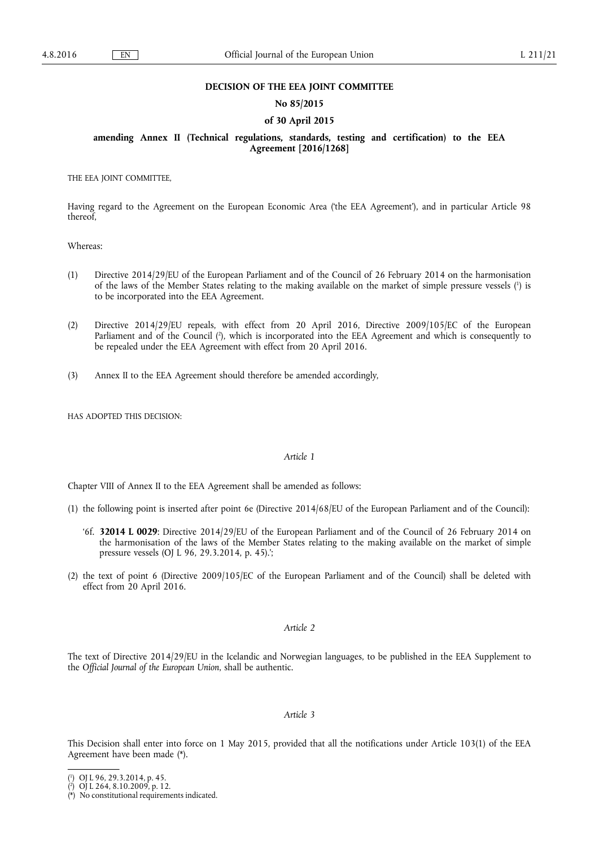#### **DECISION OF THE EEA JOINT COMMITTEE**

# **No 85/2015**

## **of 30 April 2015**

# **amending Annex II (Technical regulations, standards, testing and certification) to the EEA Agreement [2016/1268]**

THE EEA JOINT COMMITTEE,

Having regard to the Agreement on the European Economic Area ('the EEA Agreement'), and in particular Article 98 thereof,

Whereas:

- (1) Directive 2014/29/EU of the European Parliament and of the Council of 26 February 2014 on the harmonisation of the laws of the Member States relating to the making available on the market of simple pressure vessels ( 1 ) is to be incorporated into the EEA Agreement.
- (2) Directive 2014/29/EU repeals, with effect from 20 April 2016, Directive 2009/105/EC of the European Parliament and of the Council ( 2 ), which is incorporated into the EEA Agreement and which is consequently to be repealed under the EEA Agreement with effect from 20 April 2016.
- (3) Annex II to the EEA Agreement should therefore be amended accordingly,

HAS ADOPTED THIS DECISION:

#### *Article 1*

Chapter VIII of Annex II to the EEA Agreement shall be amended as follows:

- (1) the following point is inserted after point 6e (Directive 2014/68/EU of the European Parliament and of the Council):
	- '6f. **32014 L 0029**: Directive 2014/29/EU of the European Parliament and of the Council of 26 February 2014 on the harmonisation of the laws of the Member States relating to the making available on the market of simple pressure vessels (OJ L 96, 29.3.2014, p. 45).';
- (2) the text of point 6 (Directive 2009/105/EC of the European Parliament and of the Council) shall be deleted with effect from 20 April 2016.

## *Article 2*

The text of Directive 2014/29/EU in the Icelandic and Norwegian languages, to be published in the EEA Supplement to the *Official Journal of the European Union*, shall be authentic.

## *Article 3*

This Decision shall enter into force on 1 May 2015, provided that all the notifications under Article 103(1) of the EEA Agreement have been made (\*).

<sup>(</sup> 1 ) OJ L 96, 29.3.2014, p. 45.

<sup>(</sup> 2 ) OJ L 264, 8.10.2009, p. 12.

<sup>(\*)</sup> No constitutional requirements indicated.